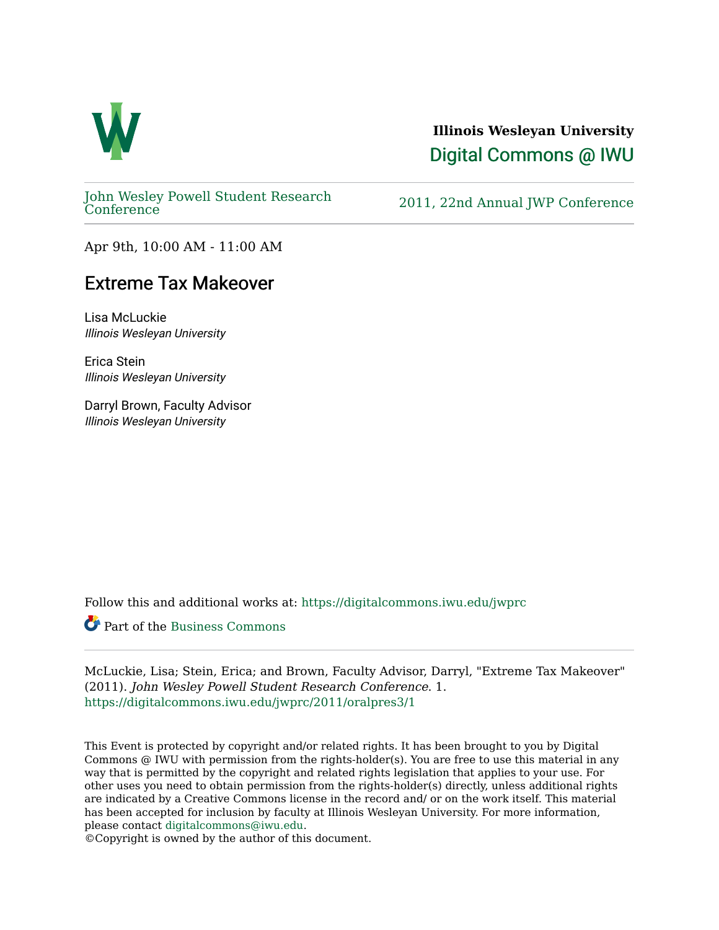

## **Illinois Wesleyan University**  [Digital Commons @ IWU](https://digitalcommons.iwu.edu/)

[John Wesley Powell Student Research](https://digitalcommons.iwu.edu/jwprc) 

2011, 22nd Annual JWP [Conference](https://digitalcommons.iwu.edu/jwprc)

Apr 9th, 10:00 AM - 11:00 AM

## Extreme Tax Makeover

Lisa McLuckie Illinois Wesleyan University

Erica Stein Illinois Wesleyan University

Darryl Brown, Faculty Advisor Illinois Wesleyan University

Follow this and additional works at: [https://digitalcommons.iwu.edu/jwprc](https://digitalcommons.iwu.edu/jwprc?utm_source=digitalcommons.iwu.edu%2Fjwprc%2F2011%2Foralpres3%2F1&utm_medium=PDF&utm_campaign=PDFCoverPages) 

Part of the [Business Commons](http://network.bepress.com/hgg/discipline/622?utm_source=digitalcommons.iwu.edu%2Fjwprc%2F2011%2Foralpres3%2F1&utm_medium=PDF&utm_campaign=PDFCoverPages) 

McLuckie, Lisa; Stein, Erica; and Brown, Faculty Advisor, Darryl, "Extreme Tax Makeover" (2011). John Wesley Powell Student Research Conference. 1. [https://digitalcommons.iwu.edu/jwprc/2011/oralpres3/1](https://digitalcommons.iwu.edu/jwprc/2011/oralpres3/1?utm_source=digitalcommons.iwu.edu%2Fjwprc%2F2011%2Foralpres3%2F1&utm_medium=PDF&utm_campaign=PDFCoverPages)

This Event is protected by copyright and/or related rights. It has been brought to you by Digital Commons @ IWU with permission from the rights-holder(s). You are free to use this material in any way that is permitted by the copyright and related rights legislation that applies to your use. For other uses you need to obtain permission from the rights-holder(s) directly, unless additional rights are indicated by a Creative Commons license in the record and/ or on the work itself. This material has been accepted for inclusion by faculty at Illinois Wesleyan University. For more information, please contact [digitalcommons@iwu.edu.](mailto:digitalcommons@iwu.edu)

©Copyright is owned by the author of this document.